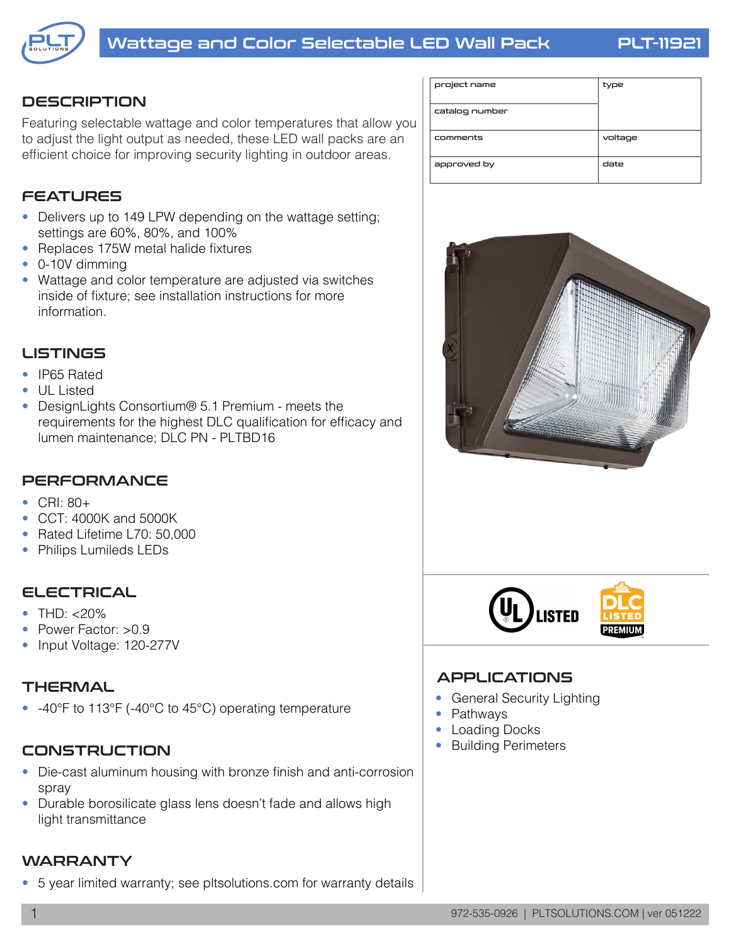

### **DESCRIPTION**

Featuring selectable wattage and color temperatures that allow you to adjust the light output as needed, these LED wall packs are an efficient choice for improving security lighting in outdoor areas.

## FEATURES

- Delivers up to 149 LPW depending on the wattage setting; settings are 60%, 80%, and 100%
- Replaces 175W metal halide fixtures
- 0-10V dimming
- Wattage and color temperature are adjusted via switches inside of fixture; see installation instructions for more information.

#### LISTINGS

- IP65 Rated
- UL Listed
- DesignLights Consortium<sup>®</sup> 5.1 Premium meets the requirements for the highest DLC qualification for efficacy and lumen maintenance; DLC PN - PLTBD16

## **PERFORMANCE**

- $\bullet$  CRI: 80+
- CCT: 4000K and 5000K
- Rated Lifetime L70: 50,000
- Philips Lumileds LEDs

#### **ELECTRICAL**

- $\bullet$  THD:  $< 20\%$
- Power Factor: >0.9
- Input Voltage: 120-277V

#### THERMAL

• -40°F to 113°F (-40°C to 45°C) operating temperature

#### CONSTRUCTION

- Die-cast aluminum housing with bronze finish and anti-corrosion spray
- Durable borosilicate glass lens doesn't fade and allows high light transmittance

#### WARRANTY

• 5 year limited warranty; see pltsolutions.com for warranty details

| project name   | type    |
|----------------|---------|
| catalog number |         |
| comments       | voltage |
| approved by    | date    |





## **APPLICATIONS**

- General Security Lighting
- Pathways
- Loading Docks
- Building Perimeters